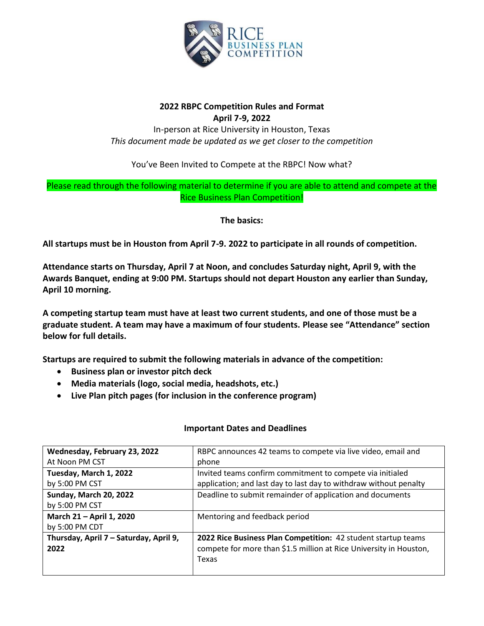

# **2022 RBPC Competition Rules and Format April 7-9, 2022**

In-person at Rice University in Houston, Texas *This document made be updated as we get closer to the competition*

You've Been Invited to Compete at the RBPC! Now what?

# Please read through the following material to determine if you are able to attend and compete at the Rice Business Plan Competition!

**The basics:**

**All startups must be in Houston from April 7-9. 2022 to participate in all rounds of competition.** 

**Attendance starts on Thursday, April 7 at Noon, and concludes Saturday night, April 9, with the Awards Banquet, ending at 9:00 PM. Startups should not depart Houston any earlier than Sunday, April 10 morning.**

**A competing startup team must have at least two current students, and one of those must be a graduate student. A team may have a maximum of four students. Please see "Attendance" section below for full details.** 

**Startups are required to submit the following materials in advance of the competition:**

- **Business plan or investor pitch deck**
- **Media materials (logo, social media, headshots, etc.)**
- **Live Plan pitch pages (for inclusion in the conference program)**

| Wednesday, February 23, 2022           | RBPC announces 42 teams to compete via live video, email and       |
|----------------------------------------|--------------------------------------------------------------------|
| At Noon PM CST                         | phone                                                              |
| Tuesday, March 1, 2022                 | Invited teams confirm commitment to compete via initialed          |
| by 5:00 PM CST                         | application; and last day to last day to withdraw without penalty  |
| Sunday, March 20, 2022                 | Deadline to submit remainder of application and documents          |
| by 5:00 PM CST                         |                                                                    |
| March 21 - April 1, 2020               | Mentoring and feedback period                                      |
| by 5:00 PM CDT                         |                                                                    |
| Thursday, April 7 - Saturday, April 9, | 2022 Rice Business Plan Competition: 42 student startup teams      |
| 2022                                   | compete for more than \$1.5 million at Rice University in Houston, |
|                                        | Texas                                                              |
|                                        |                                                                    |

# **Important Dates and Deadlines**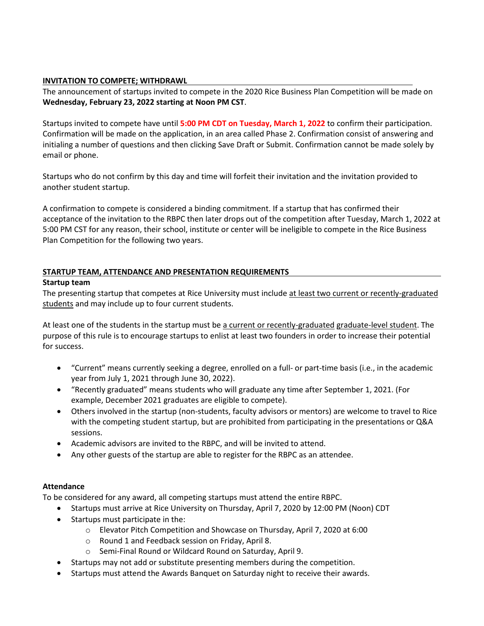## **INVITATION TO COMPETE; WITHDRAWL**

The announcement of startups invited to compete in the 2020 Rice Business Plan Competition will be made on **Wednesday, February 23, 2022 starting at Noon PM CST**.

Startups invited to compete have until **5:00 PM CDT on Tuesday, March 1, 2022** to confirm their participation. Confirmation will be made on the application, in an area called Phase 2. Confirmation consist of answering and initialing a number of questions and then clicking Save Draft or Submit. Confirmation cannot be made solely by email or phone.

Startups who do not confirm by this day and time will forfeit their invitation and the invitation provided to another student startup.

A confirmation to compete is considered a binding commitment. If a startup that has confirmed their acceptance of the invitation to the RBPC then later drops out of the competition after Tuesday, March 1, 2022 at 5:00 PM CST for any reason, their school, institute or center will be ineligible to compete in the Rice Business Plan Competition for the following two years.

## **STARTUP TEAM, ATTENDANCE AND PRESENTATION REQUIREMENTS**

#### **Startup team**

The presenting startup that competes at Rice University must include at least two current or recently-graduated students and may include up to four current students.

At least one of the students in the startup must be a current or recently-graduated graduate-level student. The purpose of this rule is to encourage startups to enlist at least two founders in order to increase their potential for success.

- "Current" means currently seeking a degree, enrolled on a full- or part-time basis (i.e., in the academic year from July 1, 2021 through June 30, 2022).
- "Recently graduated" means students who will graduate any time after September 1, 2021. (For example, December 2021 graduates are eligible to compete).
- Others involved in the startup (non-students, faculty advisors or mentors) are welcome to travel to Rice with the competing student startup, but are prohibited from participating in the presentations or Q&A sessions.
- Academic advisors are invited to the RBPC, and will be invited to attend.
- Any other guests of the startup are able to register for the RBPC as an attendee.

#### **Attendance**

To be considered for any award, all competing startups must attend the entire RBPC.

- Startups must arrive at Rice University on Thursday, April 7, 2020 by 12:00 PM (Noon) CDT
- Startups must participate in the:
	- o Elevator Pitch Competition and Showcase on Thursday, April 7, 2020 at 6:00
	- o Round 1 and Feedback session on Friday, April 8.
	- o Semi-Final Round or Wildcard Round on Saturday, April 9.
- Startups may not add or substitute presenting members during the competition.
- Startups must attend the Awards Banquet on Saturday night to receive their awards.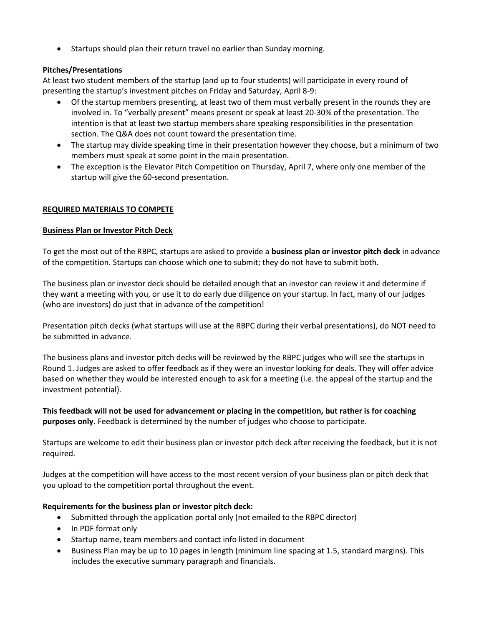• Startups should plan their return travel no earlier than Sunday morning.

## **Pitches/Presentations**

At least two student members of the startup (and up to four students) will participate in every round of presenting the startup's investment pitches on Friday and Saturday, April 8-9:

- Of the startup members presenting, at least two of them must verbally present in the rounds they are involved in. To "verbally present" means present or speak at least 20-30% of the presentation. The intention is that at least two startup members share speaking responsibilities in the presentation section. The Q&A does not count toward the presentation time.
- The startup may divide speaking time in their presentation however they choose, but a minimum of two members must speak at some point in the main presentation.
- The exception is the Elevator Pitch Competition on Thursday, April 7, where only one member of the startup will give the 60-second presentation.

#### **REQUIRED MATERIALS TO COMPETE**

#### **Business Plan or Investor Pitch Deck**

To get the most out of the RBPC, startups are asked to provide a **business plan or investor pitch deck** in advance of the competition. Startups can choose which one to submit; they do not have to submit both.

The business plan or investor deck should be detailed enough that an investor can review it and determine if they want a meeting with you, or use it to do early due diligence on your startup. In fact, many of our judges (who are investors) do just that in advance of the competition!

Presentation pitch decks (what startups will use at the RBPC during their verbal presentations), do NOT need to be submitted in advance.

The business plans and investor pitch decks will be reviewed by the RBPC judges who will see the startups in Round 1. Judges are asked to offer feedback as if they were an investor looking for deals. They will offer advice based on whether they would be interested enough to ask for a meeting (i.e. the appeal of the startup and the investment potential).

**This feedback will not be used for advancement or placing in the competition, but rather is for coaching purposes only.** Feedback is determined by the number of judges who choose to participate.

Startups are welcome to edit their business plan or investor pitch deck after receiving the feedback, but it is not required.

Judges at the competition will have access to the most recent version of your business plan or pitch deck that you upload to the competition portal throughout the event.

#### **Requirements for the business plan or investor pitch deck:**

- Submitted through the application portal only (not emailed to the RBPC director)
- In PDF format only
- Startup name, team members and contact info listed in document
- Business Plan may be up to 10 pages in length (minimum line spacing at 1.5, standard margins). This includes the executive summary paragraph and financials.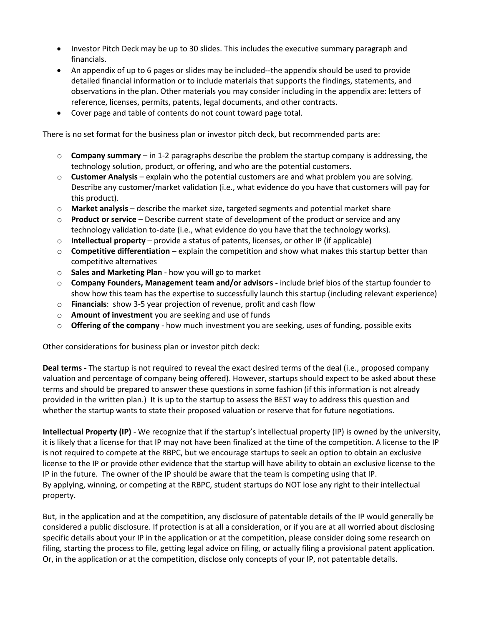- Investor Pitch Deck may be up to 30 slides. This includes the executive summary paragraph and financials.
- An appendix of up to 6 pages or slides may be included--the appendix should be used to provide detailed financial information or to include materials that supports the findings, statements, and observations in the plan. Other materials you may consider including in the appendix are: letters of reference, licenses, permits, patents, legal documents, and other contracts.
- Cover page and table of contents do not count toward page total.

There is no set format for the business plan or investor pitch deck, but recommended parts are:

- o **Company summary** in 1-2 paragraphs describe the problem the startup company is addressing, the technology solution, product, or offering, and who are the potential customers.
- o **Customer Analysis** explain who the potential customers are and what problem you are solving. Describe any customer/market validation (i.e., what evidence do you have that customers will pay for this product).
- o **Market analysis** describe the market size, targeted segments and potential market share
- o **Product or service** Describe current state of development of the product or service and any technology validation to-date (i.e., what evidence do you have that the technology works).
- o **Intellectual property** provide a status of patents, licenses, or other IP (if applicable)
- o **Competitive differentiation** explain the competition and show what makes this startup better than competitive alternatives
- o **Sales and Marketing Plan** how you will go to market
- o **Company Founders, Management team and/or advisors -** include brief bios of the startup founder to show how this team has the expertise to successfully launch this startup (including relevant experience)
- o **Financials**: show 3-5 year projection of revenue, profit and cash flow
- o **Amount of investment** you are seeking and use of funds
- o **Offering of the company** how much investment you are seeking, uses of funding, possible exits

Other considerations for business plan or investor pitch deck:

**Deal terms -** The startup is not required to reveal the exact desired terms of the deal (i.e., proposed company valuation and percentage of company being offered). However, startups should expect to be asked about these terms and should be prepared to answer these questions in some fashion (if this information is not already provided in the written plan.) It is up to the startup to assess the BEST way to address this question and whether the startup wants to state their proposed valuation or reserve that for future negotiations.

**Intellectual Property (IP)** - We recognize that if the startup's intellectual property (IP) is owned by the university, it is likely that a license for that IP may not have been finalized at the time of the competition. A license to the IP is not required to compete at the RBPC, but we encourage startups to seek an option to obtain an exclusive license to the IP or provide other evidence that the startup will have ability to obtain an exclusive license to the IP in the future. The owner of the IP should be aware that the team is competing using that IP. By applying, winning, or competing at the RBPC, student startups do NOT lose any right to their intellectual property.

But, in the application and at the competition, any disclosure of patentable details of the IP would generally be considered a public disclosure. If protection is at all a consideration, or if you are at all worried about disclosing specific details about your IP in the application or at the competition, please consider doing some research on filing, starting the process to file, getting legal advice on filing, or actually filing a provisional patent application. Or, in the application or at the competition, disclose only concepts of your IP, not patentable details.